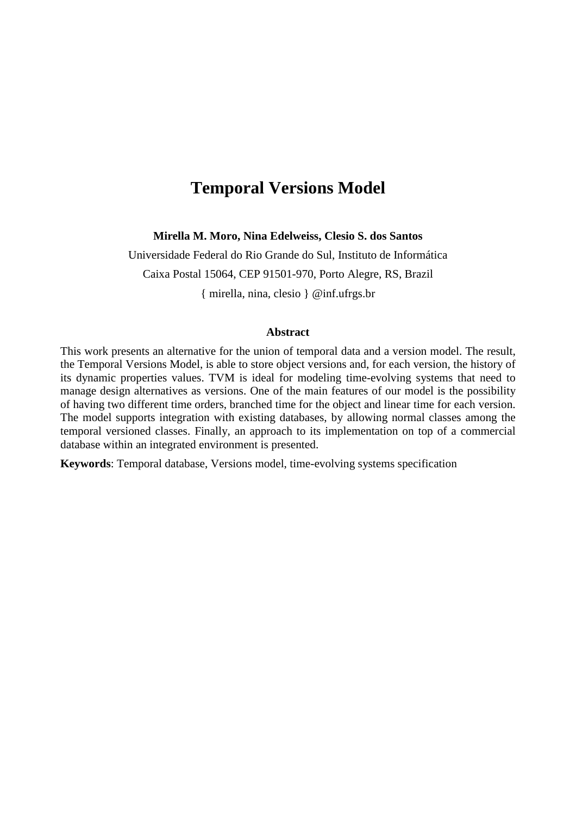# **Temporal Versions Model**

**Mirella M. Moro, Nina Edelweiss, Clesio S. dos Santos**

Universidade Federal do Rio Grande do Sul, Instituto de Informática Caixa Postal 15064, CEP 91501-970, Porto Alegre, RS, Brazil

{ mirella, nina, clesio } @inf.ufrgs.br

#### **Abstract**

This work presents an alternative for the union of temporal data and a version model. The result, the Temporal Versions Model, is able to store object versions and, for each version, the history of its dynamic properties values. TVM is ideal for modeling time-evolving systems that need to manage design alternatives as versions. One of the main features of our model is the possibility of having two different time orders, branched time for the object and linear time for each version. The model supports integration with existing databases, by allowing normal classes among the temporal versioned classes. Finally, an approach to its implementation on top of a commercial database within an integrated environment is presented.

**Keywords**: Temporal database, Versions model, time-evolving systems specification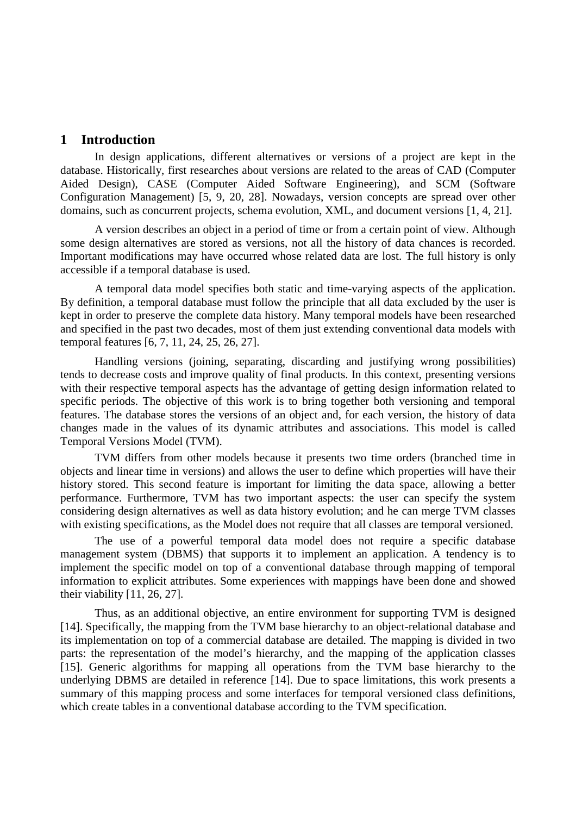## **1 Introduction**

In design applications, different alternatives or versions of a project are kept in the database. Historically, first researches about versions are related to the areas of CAD (Computer Aided Design), CASE (Computer Aided Software Engineering), and SCM (Software Configuration Management) [5, 9, 20, 28]. Nowadays, version concepts are spread over other domains, such as concurrent projects, schema evolution, XML, and document versions [1, 4, 21].

A version describes an object in a period of time or from a certain point of view. Although some design alternatives are stored as versions, not all the history of data chances is recorded. Important modifications may have occurred whose related data are lost. The full history is only accessible if a temporal database is used.

A temporal data model specifies both static and time-varying aspects of the application. By definition, a temporal database must follow the principle that all data excluded by the user is kept in order to preserve the complete data history. Many temporal models have been researched and specified in the past two decades, most of them just extending conventional data models with temporal features [6, 7, 11, 24, 25, 26, 27].

Handling versions (joining, separating, discarding and justifying wrong possibilities) tends to decrease costs and improve quality of final products. In this context, presenting versions with their respective temporal aspects has the advantage of getting design information related to specific periods. The objective of this work is to bring together both versioning and temporal features. The database stores the versions of an object and, for each version, the history of data changes made in the values of its dynamic attributes and associations. This model is called Temporal Versions Model (TVM).

TVM differs from other models because it presents two time orders (branched time in objects and linear time in versions) and allows the user to define which properties will have their history stored. This second feature is important for limiting the data space, allowing a better performance. Furthermore, TVM has two important aspects: the user can specify the system considering design alternatives as well as data history evolution; and he can merge TVM classes with existing specifications, as the Model does not require that all classes are temporal versioned.

The use of a powerful temporal data model does not require a specific database management system (DBMS) that supports it to implement an application. A tendency is to implement the specific model on top of a conventional database through mapping of temporal information to explicit attributes. Some experiences with mappings have been done and showed their viability [11, 26, 27].

Thus, as an additional objective, an entire environment for supporting TVM is designed [14]. Specifically, the mapping from the TVM base hierarchy to an object-relational database and its implementation on top of a commercial database are detailed. The mapping is divided in two parts: the representation of the model's hierarchy, and the mapping of the application classes [15]. Generic algorithms for mapping all operations from the TVM base hierarchy to the underlying DBMS are detailed in reference [14]. Due to space limitations, this work presents a summary of this mapping process and some interfaces for temporal versioned class definitions, which create tables in a conventional database according to the TVM specification.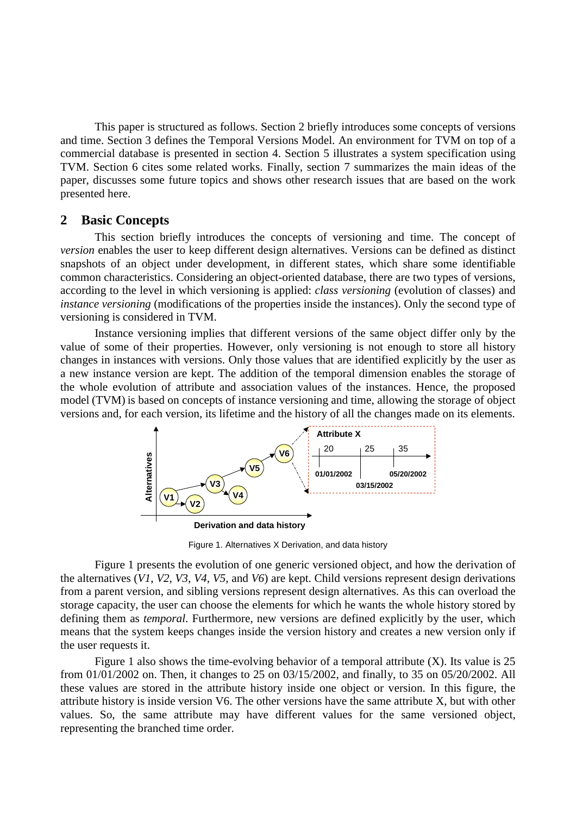This paper is structured as follows. Section 2 briefly introduces some concepts of versions and time. Section 3 defines the Temporal Versions Model. An environment for TVM on top of a commercial database is presented in section 4. Section 5 illustrates a system specification using TVM. Section 6 cites some related works. Finally, section 7 summarizes the main ideas of the paper, discusses some future topics and shows other research issues that are based on the work presented here.

#### **2 Basic Concepts**

This section briefly introduces the concepts of versioning and time. The concept of *version* enables the user to keep different design alternatives. Versions can be defined as distinct snapshots of an object under development, in different states, which share some identifiable common characteristics. Considering an object-oriented database, there are two types of versions, according to the level in which versioning is applied: *class versioning* (evolution of classes) and *instance versioning* (modifications of the properties inside the instances). Only the second type of versioning is considered in TVM.

Instance versioning implies that different versions of the same object differ only by the value of some of their properties. However, only versioning is not enough to store all history changes in instances with versions. Only those values that are identified explicitly by the user as a new instance version are kept. The addition of the temporal dimension enables the storage of the whole evolution of attribute and association values of the instances. Hence, the proposed model (TVM) is based on concepts of instance versioning and time, allowing the storage of object versions and, for each version, its lifetime and the history of all the changes made on its elements.



Figure 1. Alternatives X Derivation, and data history

Figure 1 presents the evolution of one generic versioned object, and how the derivation of the alternatives (*V1*, *V2*, *V3*, *V4*, *V5*, and *V6*) are kept. Child versions represent design derivations from a parent version, and sibling versions represent design alternatives. As this can overload the storage capacity, the user can choose the elements for which he wants the whole history stored by defining them as *temporal*. Furthermore, new versions are defined explicitly by the user, which means that the system keeps changes inside the version history and creates a new version only if the user requests it.

Figure 1 also shows the time-evolving behavior of a temporal attribute  $(X)$ . Its value is 25 from 01/01/2002 on. Then, it changes to 25 on 03/15/2002, and finally, to 35 on 05/20/2002. All these values are stored in the attribute history inside one object or version. In this figure, the attribute history is inside version V6. The other versions have the same attribute X, but with other values. So, the same attribute may have different values for the same versioned object, representing the branched time order.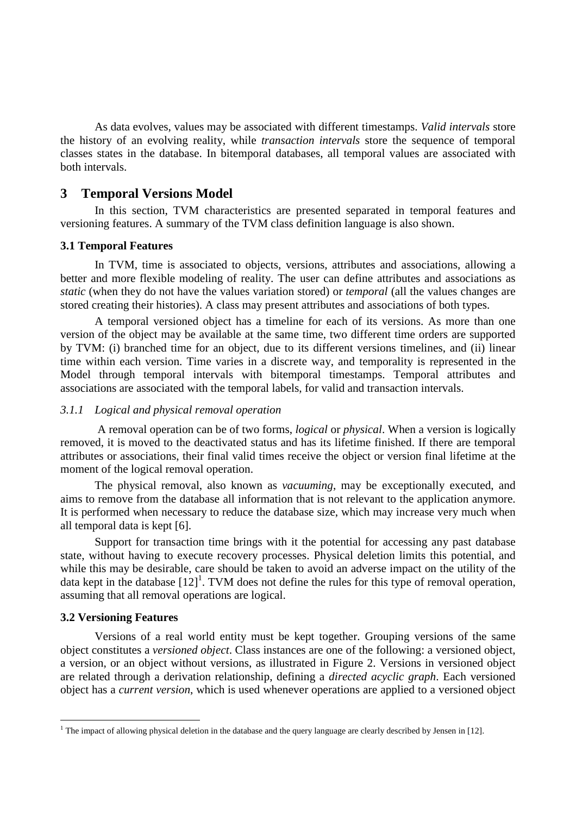As data evolves, values may be associated with different timestamps. *Valid intervals* store the history of an evolving reality, while *transaction intervals* store the sequence of temporal classes states in the database. In bitemporal databases, all temporal values are associated with both intervals.

# **3 Temporal Versions Model**

In this section, TVM characteristics are presented separated in temporal features and versioning features. A summary of the TVM class definition language is also shown.

#### **3.1 Temporal Features**

In TVM, time is associated to objects, versions, attributes and associations, allowing a better and more flexible modeling of reality. The user can define attributes and associations as *static* (when they do not have the values variation stored) or *temporal* (all the values changes are stored creating their histories). A class may present attributes and associations of both types.

A temporal versioned object has a timeline for each of its versions. As more than one version of the object may be available at the same time, two different time orders are supported by TVM: (i) branched time for an object, due to its different versions timelines, and (ii) linear time within each version. Time varies in a discrete way, and temporality is represented in the Model through temporal intervals with bitemporal timestamps. Temporal attributes and associations are associated with the temporal labels, for valid and transaction intervals.

#### *3.1.1 Logical and physical removal operation*

 A removal operation can be of two forms, *logical* or *physical*. When a version is logically removed, it is moved to the deactivated status and has its lifetime finished. If there are temporal attributes or associations, their final valid times receive the object or version final lifetime at the moment of the logical removal operation.

The physical removal, also known as *vacuuming*, may be exceptionally executed, and aims to remove from the database all information that is not relevant to the application anymore. It is performed when necessary to reduce the database size, which may increase very much when all temporal data is kept [6].

Support for transaction time brings with it the potential for accessing any past database state, without having to execute recovery processes. Physical deletion limits this potential, and while this may be desirable, care should be taken to avoid an adverse impact on the utility of the data kept in the database  $[12]$ <sup>1</sup>. TVM does not define the rules for this type of removal operation, assuming that all removal operations are logical.

#### **3.2 Versioning Features**

 $\overline{a}$ 

Versions of a real world entity must be kept together. Grouping versions of the same object constitutes a *versioned object*. Class instances are one of the following: a versioned object, a version, or an object without versions, as illustrated in Figure 2. Versions in versioned object are related through a derivation relationship, defining a *directed acyclic graph*. Each versioned object has a *current version*, which is used whenever operations are applied to a versioned object

<sup>&</sup>lt;sup>1</sup> The impact of allowing physical deletion in the database and the query language are clearly described by Jensen in [12].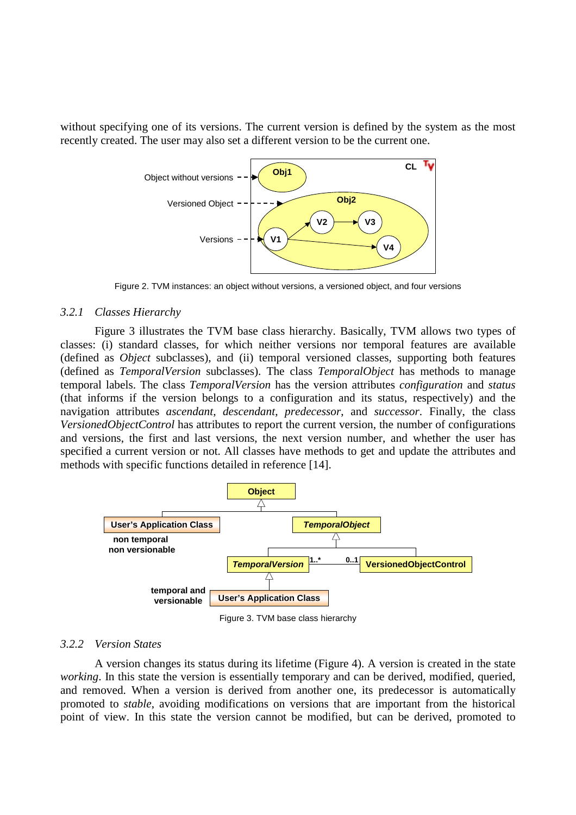without specifying one of its versions. The current version is defined by the system as the most recently created. The user may also set a different version to be the current one.



Figure 2. TVM instances: an object without versions, a versioned object, and four versions

#### *3.2.1 Classes Hierarchy*

Figure 3 illustrates the TVM base class hierarchy. Basically, TVM allows two types of classes: (i) standard classes, for which neither versions nor temporal features are available (defined as *Object* subclasses), and (ii) temporal versioned classes, supporting both features (defined as *TemporalVersion* subclasses). The class *TemporalObject* has methods to manage temporal labels. The class *TemporalVersion* has the version attributes *configuration* and *status* (that informs if the version belongs to a configuration and its status, respectively) and the navigation attributes *ascendant*, *descendant*, *predecessor*, and *successor*. Finally, the class *VersionedObjectControl* has attributes to report the current version, the number of configurations and versions, the first and last versions, the next version number, and whether the user has specified a current version or not. All classes have methods to get and update the attributes and methods with specific functions detailed in reference [14].



Figure 3. TVM base class hierarchy

#### *3.2.2 Version States*

A version changes its status during its lifetime (Figure 4). A version is created in the state *working*. In this state the version is essentially temporary and can be derived, modified, queried, and removed. When a version is derived from another one, its predecessor is automatically promoted to *stable*, avoiding modifications on versions that are important from the historical point of view. In this state the version cannot be modified, but can be derived, promoted to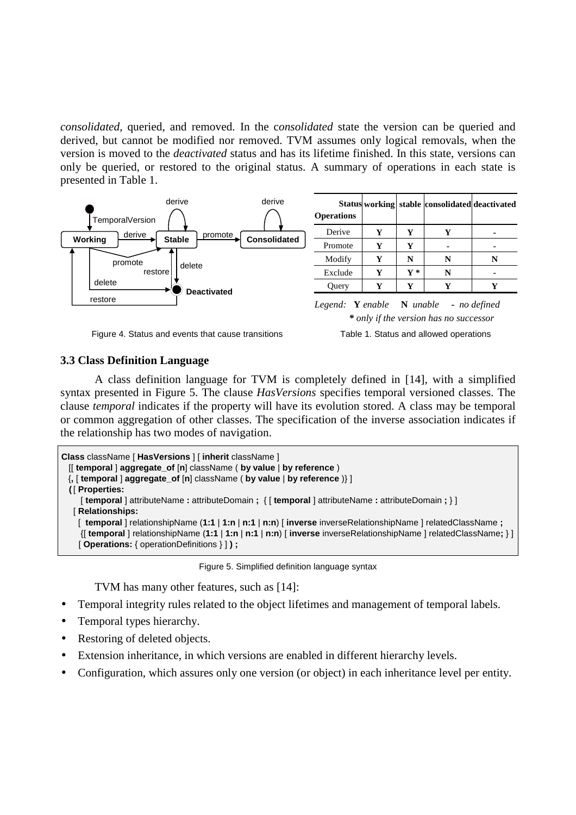*consolidated*, queried, and removed. In the c*onsolidated* state the version can be queried and derived, but cannot be modified nor removed. TVM assumes only logical removals, when the version is moved to the *deactivated* status and has its lifetime finished. In this state, versions can only be queried, or restored to the original status. A summary of operations in each state is presented in Table 1.



Figure 4. Status and events that cause transitions Table 1. Status and allowed operations

#### **3.3 Class Definition Language**

A class definition language for TVM is completely defined in [14], with a simplified syntax presented in Figure 5. The clause *HasVersions* specifies temporal versioned classes. The clause *temporal* indicates if the property will have its evolution stored. A class may be temporal or common aggregation of other classes. The specification of the inverse association indicates if the relationship has two modes of navigation.

```
Class className [ HasVersions ] [ inherit className ]
 [[ temporal ] aggregate_of [n] className ( by value | by reference )
{, [ temporal ] aggregate_of [n] className ( by value | by reference )} ]
( [ Properties:
    [ temporal ] attributeName : attributeDomain ; { [ temporal ] attributeName : attributeDomain ; } ]
  [ Relationships:
    [ temporal ] relationshipName (1:1 | 1:n | n:1 | n:n) [ inverse inverseRelationshipName ] relatedClassName ;
    {[ temporal ] relationshipName (1:1 | 1:n | n:1 | n:n) [ inverse inverseRelationshipName ] relatedClassName; } ]
  [ Operations: { operationDefinitions } ] ) ;
```
Figure 5. Simplified definition language syntax

TVM has many other features, such as [14]:

- Temporal integrity rules related to the object lifetimes and management of temporal labels.
- Temporal types hierarchy.
- Restoring of deleted objects.
- Extension inheritance, in which versions are enabled in different hierarchy levels.
- Configuration, which assures only one version (or object) in each inheritance level per entity.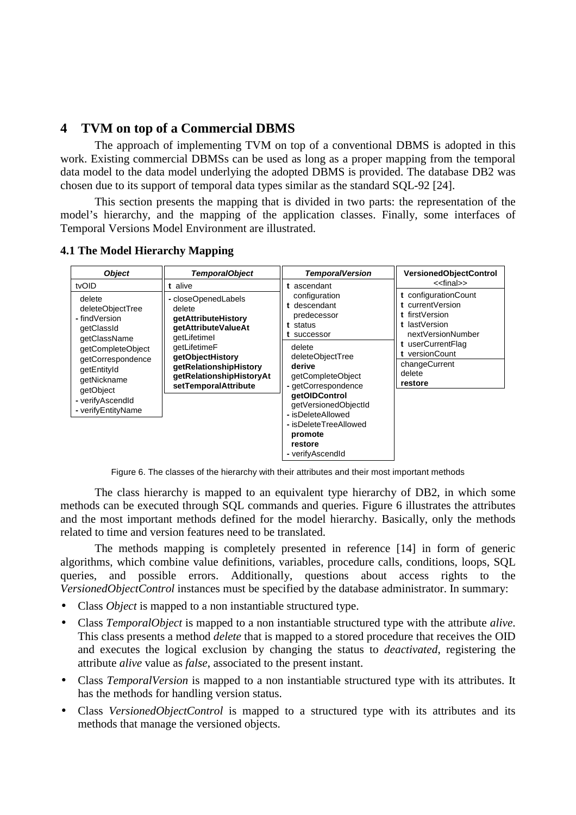# **4 TVM on top of a Commercial DBMS**

The approach of implementing TVM on top of a conventional DBMS is adopted in this work. Existing commercial DBMSs can be used as long as a proper mapping from the temporal data model to the data model underlying the adopted DBMS is provided. The database DB2 was chosen due to its support of temporal data types similar as the standard SQL-92 [24].

This section presents the mapping that is divided in two parts: the representation of the model's hierarchy, and the mapping of the application classes. Finally, some interfaces of Temporal Versions Model Environment are illustrated.

| <b>Object</b>                                                                                                                                                                                                     | <b>TemporalObject</b>                                                                                                                                                                                                    | <b>TemporalVersion</b>                                                                                                                                                                                                                                            | <b>VersionedObjectControl</b>                                                                                                                                                                                     |
|-------------------------------------------------------------------------------------------------------------------------------------------------------------------------------------------------------------------|--------------------------------------------------------------------------------------------------------------------------------------------------------------------------------------------------------------------------|-------------------------------------------------------------------------------------------------------------------------------------------------------------------------------------------------------------------------------------------------------------------|-------------------------------------------------------------------------------------------------------------------------------------------------------------------------------------------------------------------|
| tvOID<br>delete<br>deleteObjectTree<br>- findVersion<br>getClassId<br>getClassName<br>getCompleteObject<br>getCorrespondence<br>getEntityId<br>getNickname<br>getObject<br>- verifyAscendId<br>- verifyEntityName | t alive<br>- closeOpenedLabels<br>delete<br>getAttributeHistory<br>qetAttributeValueAt<br>getLifetimel<br>qetLifetimeF<br>getObjectHistory<br>getRelationshipHistory<br>getRelationshipHistoryAt<br>setTemporalAttribute | t ascendant<br>configuration<br>t descendant<br>predecessor<br>t status<br>t successor<br>delete<br>deleteObjectTree<br>derive<br>getCompleteObject<br>- getCorrespondence<br>qetOIDControl<br>getVersionedObjectId<br>- isDeleteAllowed<br>- isDeleteTreeAllowed | < <final>&gt;<br/>t configuration Count<br/>t currentVersion<br/>t firstVersion<br/>t lastVersion<br/>nextVersionNumber<br/>t userCurrentFlag<br/>t versionCount<br/>changeCurrent<br/>delete<br/>restore</final> |
|                                                                                                                                                                                                                   |                                                                                                                                                                                                                          | promote<br>restore<br>- verifyAscendId                                                                                                                                                                                                                            |                                                                                                                                                                                                                   |

**4.1 The Model Hierarchy Mapping**

Figure 6. The classes of the hierarchy with their attributes and their most important methods

The class hierarchy is mapped to an equivalent type hierarchy of DB2, in which some methods can be executed through SQL commands and queries. Figure 6 illustrates the attributes and the most important methods defined for the model hierarchy. Basically, only the methods related to time and version features need to be translated.

The methods mapping is completely presented in reference [14] in form of generic algorithms, which combine value definitions, variables, procedure calls, conditions, loops, SQL queries, and possible errors. Additionally, questions about access rights to the *VersionedObjectControl* instances must be specified by the database administrator. In summary:

- Class *Object* is mapped to a non instantiable structured type.
- Class *TemporalObject* is mapped to a non instantiable structured type with the attribute *alive*. This class presents a method *delete* that is mapped to a stored procedure that receives the OID and executes the logical exclusion by changing the status to *deactivated*, registering the attribute *alive* value as *false*, associated to the present instant.
- Class *TemporalVersion* is mapped to a non instantiable structured type with its attributes. It has the methods for handling version status.
- Class *VersionedObjectControl* is mapped to a structured type with its attributes and its methods that manage the versioned objects.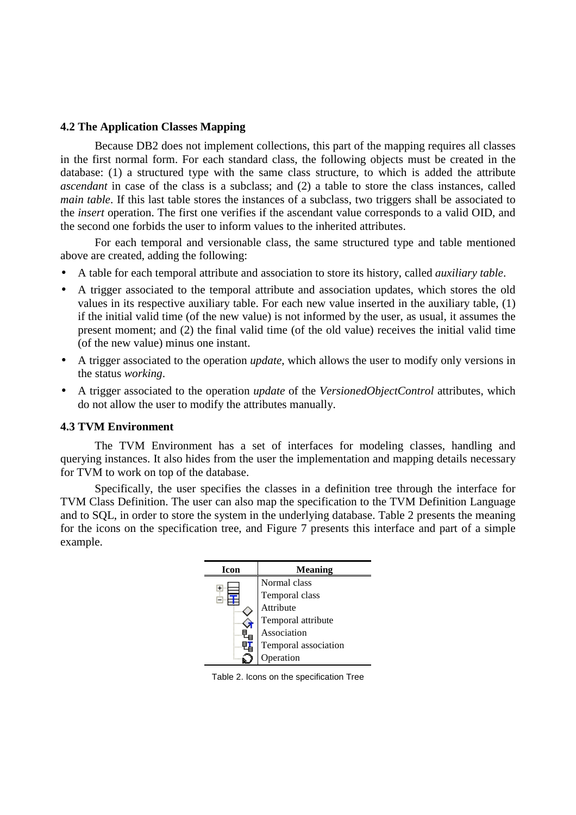### **4.2 The Application Classes Mapping**

Because DB2 does not implement collections, this part of the mapping requires all classes in the first normal form. For each standard class, the following objects must be created in the database: (1) a structured type with the same class structure, to which is added the attribute *ascendant* in case of the class is a subclass; and (2) a table to store the class instances, called *main table*. If this last table stores the instances of a subclass, two triggers shall be associated to the *insert* operation. The first one verifies if the ascendant value corresponds to a valid OID, and the second one forbids the user to inform values to the inherited attributes.

For each temporal and versionable class, the same structured type and table mentioned above are created, adding the following:

- A table for each temporal attribute and association to store its history, called *auxiliary table*.
- A trigger associated to the temporal attribute and association updates, which stores the old values in its respective auxiliary table. For each new value inserted in the auxiliary table, (1) if the initial valid time (of the new value) is not informed by the user, as usual, it assumes the present moment; and (2) the final valid time (of the old value) receives the initial valid time (of the new value) minus one instant.
- A trigger associated to the operation *update*, which allows the user to modify only versions in the status *working*.
- A trigger associated to the operation *update* of the *VersionedObjectControl* attributes, which do not allow the user to modify the attributes manually.

#### **4.3 TVM Environment**

The TVM Environment has a set of interfaces for modeling classes, handling and querying instances. It also hides from the user the implementation and mapping details necessary for TVM to work on top of the database.

Specifically, the user specifies the classes in a definition tree through the interface for TVM Class Definition. The user can also map the specification to the TVM Definition Language and to SQL, in order to store the system in the underlying database. Table 2 presents the meaning for the icons on the specification tree, and Figure 7 presents this interface and part of a simple example.

| Icon | <b>Meaning</b>       |
|------|----------------------|
|      | Normal class         |
|      | Temporal class       |
|      | Attribute            |
|      | Temporal attribute   |
|      | Association          |
|      | Temporal association |
|      | peration             |

Table 2. Icons on the specification Tree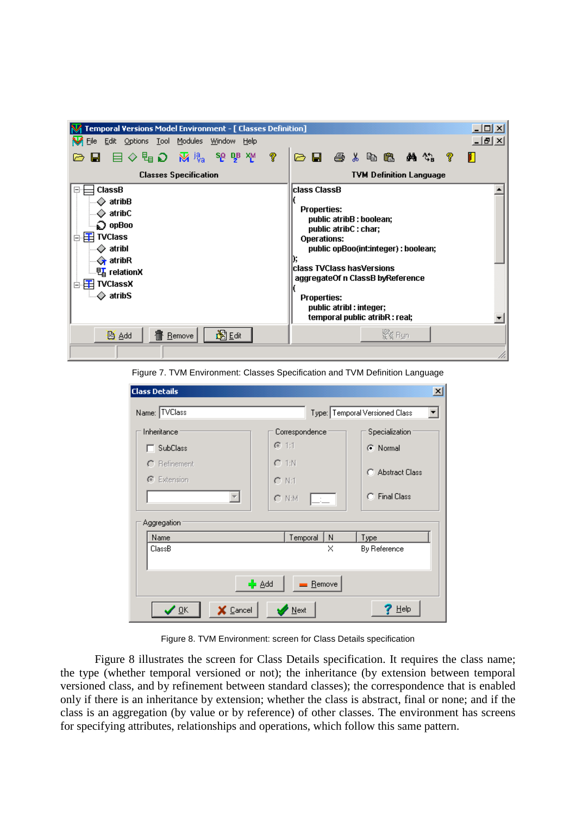

Figure 7. TVM Environment: Classes Specification and TVM Definition Language

| <b>Class Details</b>    |                    | $\mathbf{x}$                   |  |  |
|-------------------------|--------------------|--------------------------------|--|--|
| Name: TVClass           |                    | Type: Temporal Versioned Class |  |  |
| Inheritance             | Correspondence     | Specialization                 |  |  |
| <b>SubClass</b>         | $G$ 1:1            | C Normal                       |  |  |
| $\cap$ Refinement       | $C$ 1:N            |                                |  |  |
| G Extension             | $C$ N:1            | C Abstract Class               |  |  |
|                         | $C$ N:M            | <b>C</b> Final Class           |  |  |
| Aggregation             |                    |                                |  |  |
| Name<br>ClassB          | Temporal<br>N<br>× | Type<br>By Reference           |  |  |
| - Add<br>Remove         |                    |                                |  |  |
| ✔ ፬K<br><b>X</b> Cancel | Next               | Help                           |  |  |

Figure 8. TVM Environment: screen for Class Details specification

Figure 8 illustrates the screen for Class Details specification. It requires the class name; the type (whether temporal versioned or not); the inheritance (by extension between temporal versioned class, and by refinement between standard classes); the correspondence that is enabled only if there is an inheritance by extension; whether the class is abstract, final or none; and if the class is an aggregation (by value or by reference) of other classes. The environment has screens for specifying attributes, relationships and operations, which follow this same pattern.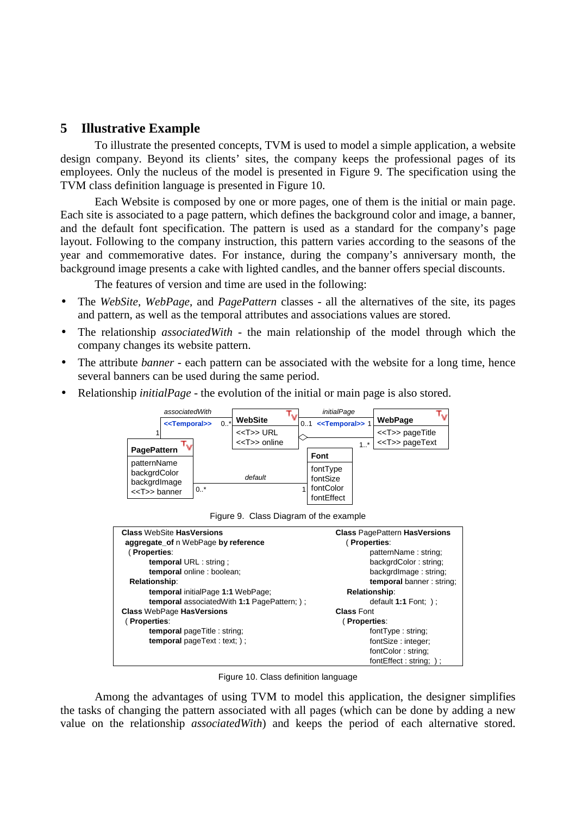# **5 Illustrative Example**

To illustrate the presented concepts, TVM is used to model a simple application, a website design company. Beyond its clients' sites, the company keeps the professional pages of its employees. Only the nucleus of the model is presented in Figure 9. The specification using the TVM class definition language is presented in Figure 10.

Each Website is composed by one or more pages, one of them is the initial or main page. Each site is associated to a page pattern, which defines the background color and image, a banner, and the default font specification. The pattern is used as a standard for the company's page layout. Following to the company instruction, this pattern varies according to the seasons of the year and commemorative dates. For instance, during the company's anniversary month, the background image presents a cake with lighted candles, and the banner offers special discounts.

The features of version and time are used in the following:

- The *WebSite*, *WebPage*, and *PagePattern* classes all the alternatives of the site, its pages and pattern, as well as the temporal attributes and associations values are stored.
- The relationship *associatedWith* the main relationship of the model through which the company changes its website pattern.
- The attribute *banner* each pattern can be associated with the website for a long time, hence several banners can be used during the same period.
- Relationship *initialPage* the evolution of the initial or main page is also stored.



Figure 9. Class Diagram of the example

| <b>Class WebSite HasVersions</b>                     | <b>Class PagePattern HasVersions</b> |
|------------------------------------------------------|--------------------------------------|
| aggregate_of n WebPage by reference                  | (Properties:                         |
| (Properties:                                         | patternName: string:                 |
| temporal URL : string ;                              | backgrdColor: string;                |
| temporal online : boolean;                           | backgrdImage: string;                |
| <b>Relationship:</b>                                 | temporal banner: string;             |
| temporal initialPage 1:1 WebPage;                    | <b>Relationship:</b>                 |
| <b>temporal</b> associated With 1:1 Page Pattern; ); | default $1:1$ Font; $)$ ;            |
| <b>Class WebPage HasVersions</b>                     | <b>Class Font</b>                    |
| (Properties:                                         | (Properties:                         |
| <b>temporal</b> page Title : string;                 | fontType: string;                    |
| <b>temporal</b> page $Text: text;$ );                | fontSize: integer;                   |
|                                                      | fontColor: string:                   |
|                                                      | fontEffect: string; );               |

Figure 10. Class definition language

Among the advantages of using TVM to model this application, the designer simplifies the tasks of changing the pattern associated with all pages (which can be done by adding a new value on the relationship *associatedWith*) and keeps the period of each alternative stored.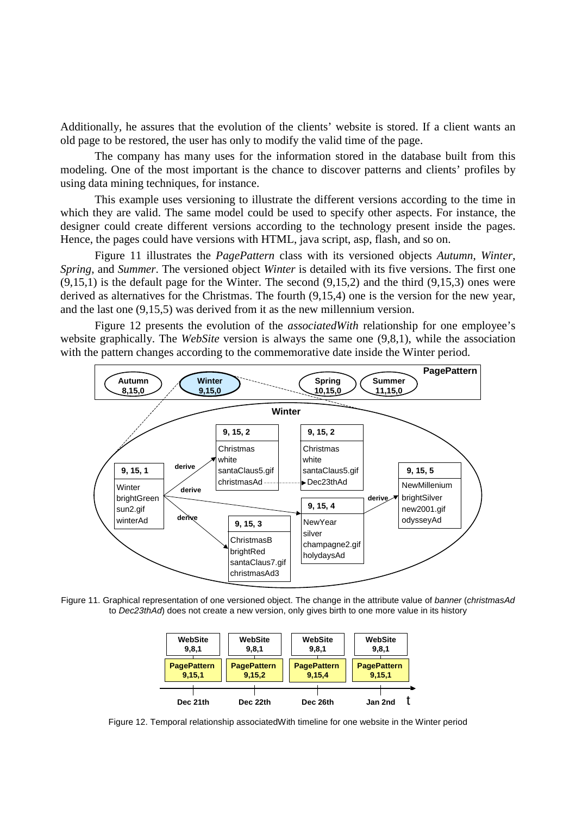Additionally, he assures that the evolution of the clients' website is stored. If a client wants an old page to be restored, the user has only to modify the valid time of the page.

The company has many uses for the information stored in the database built from this modeling. One of the most important is the chance to discover patterns and clients' profiles by using data mining techniques, for instance.

This example uses versioning to illustrate the different versions according to the time in which they are valid. The same model could be used to specify other aspects. For instance, the designer could create different versions according to the technology present inside the pages. Hence, the pages could have versions with HTML, java script, asp, flash, and so on.

Figure 11 illustrates the *PagePattern* class with its versioned objects *Autumn*, *Winter*, *Spring*, and *Summer*. The versioned object *Winter* is detailed with its five versions. The first one  $(9.15,1)$  is the default page for the Winter. The second  $(9.15,2)$  and the third  $(9.15,3)$  ones were derived as alternatives for the Christmas. The fourth (9,15,4) one is the version for the new year, and the last one (9,15,5) was derived from it as the new millennium version.

Figure 12 presents the evolution of the *associatedWith* relationship for one employee's website graphically. The *WebSite* version is always the same one (9,8,1), while the association with the pattern changes according to the commemorative date inside the Winter period.



Figure 11. Graphical representation of one versioned object. The change in the attribute value of *banner* (*christmasAd* to *Dec23thAd*) does not create a new version, only gives birth to one more value in its history



Figure 12. Temporal relationship associatedWith timeline for one website in the Winter period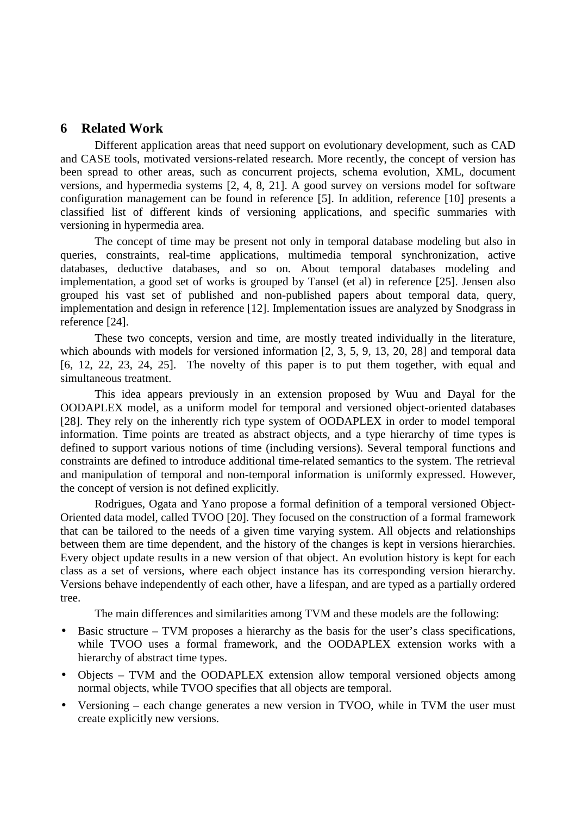# **6 Related Work**

Different application areas that need support on evolutionary development, such as CAD and CASE tools, motivated versions-related research. More recently, the concept of version has been spread to other areas, such as concurrent projects, schema evolution, XML, document versions, and hypermedia systems [2, 4, 8, 21]. A good survey on versions model for software configuration management can be found in reference [5]. In addition, reference [10] presents a classified list of different kinds of versioning applications, and specific summaries with versioning in hypermedia area.

The concept of time may be present not only in temporal database modeling but also in queries, constraints, real-time applications, multimedia temporal synchronization, active databases, deductive databases, and so on. About temporal databases modeling and implementation, a good set of works is grouped by Tansel (et al) in reference [25]. Jensen also grouped his vast set of published and non-published papers about temporal data, query, implementation and design in reference [12]. Implementation issues are analyzed by Snodgrass in reference [24].

These two concepts, version and time, are mostly treated individually in the literature, which abounds with models for versioned information [2, 3, 5, 9, 13, 20, 28] and temporal data [6, 12, 22, 23, 24, 25]. The novelty of this paper is to put them together, with equal and simultaneous treatment.

This idea appears previously in an extension proposed by Wuu and Dayal for the OODAPLEX model, as a uniform model for temporal and versioned object-oriented databases [28]. They rely on the inherently rich type system of OODAPLEX in order to model temporal information. Time points are treated as abstract objects, and a type hierarchy of time types is defined to support various notions of time (including versions). Several temporal functions and constraints are defined to introduce additional time-related semantics to the system. The retrieval and manipulation of temporal and non-temporal information is uniformly expressed. However, the concept of version is not defined explicitly.

Rodrigues, Ogata and Yano propose a formal definition of a temporal versioned Object-Oriented data model, called TVOO [20]. They focused on the construction of a formal framework that can be tailored to the needs of a given time varying system. All objects and relationships between them are time dependent, and the history of the changes is kept in versions hierarchies. Every object update results in a new version of that object. An evolution history is kept for each class as a set of versions, where each object instance has its corresponding version hierarchy. Versions behave independently of each other, have a lifespan, and are typed as a partially ordered tree.

The main differences and similarities among TVM and these models are the following:

- Basic structure TVM proposes a hierarchy as the basis for the user's class specifications, while TVOO uses a formal framework, and the OODAPLEX extension works with a hierarchy of abstract time types.
- Objects TVM and the OODAPLEX extension allow temporal versioned objects among normal objects, while TVOO specifies that all objects are temporal.
- Versioning each change generates a new version in TVOO, while in TVM the user must create explicitly new versions.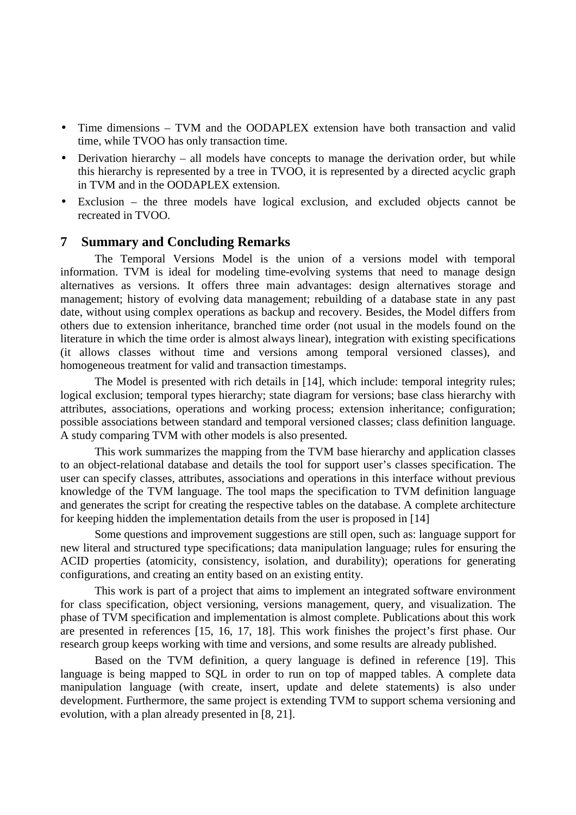- Time dimensions TVM and the OODAPLEX extension have both transaction and valid time, while TVOO has only transaction time.
- Derivation hierarchy all models have concepts to manage the derivation order, but while this hierarchy is represented by a tree in TVOO, it is represented by a directed acyclic graph in TVM and in the OODAPLEX extension.
- Exclusion the three models have logical exclusion, and excluded objects cannot be recreated in TVOO.

# **7 Summary and Concluding Remarks**

The Temporal Versions Model is the union of a versions model with temporal information. TVM is ideal for modeling time-evolving systems that need to manage design alternatives as versions. It offers three main advantages: design alternatives storage and management; history of evolving data management; rebuilding of a database state in any past date, without using complex operations as backup and recovery. Besides, the Model differs from others due to extension inheritance, branched time order (not usual in the models found on the literature in which the time order is almost always linear), integration with existing specifications (it allows classes without time and versions among temporal versioned classes), and homogeneous treatment for valid and transaction timestamps.

The Model is presented with rich details in [14], which include: temporal integrity rules; logical exclusion; temporal types hierarchy; state diagram for versions; base class hierarchy with attributes, associations, operations and working process; extension inheritance; configuration; possible associations between standard and temporal versioned classes; class definition language. A study comparing TVM with other models is also presented.

This work summarizes the mapping from the TVM base hierarchy and application classes to an object-relational database and details the tool for support user's classes specification. The user can specify classes, attributes, associations and operations in this interface without previous knowledge of the TVM language. The tool maps the specification to TVM definition language and generates the script for creating the respective tables on the database. A complete architecture for keeping hidden the implementation details from the user is proposed in [14]

Some questions and improvement suggestions are still open, such as: language support for new literal and structured type specifications; data manipulation language; rules for ensuring the ACID properties (atomicity, consistency, isolation, and durability); operations for generating configurations, and creating an entity based on an existing entity.

This work is part of a project that aims to implement an integrated software environment for class specification, object versioning, versions management, query, and visualization. The phase of TVM specification and implementation is almost complete. Publications about this work are presented in references [15, 16, 17, 18]. This work finishes the project's first phase. Our research group keeps working with time and versions, and some results are already published.

Based on the TVM definition, a query language is defined in reference [19]. This language is being mapped to SQL in order to run on top of mapped tables. A complete data manipulation language (with create, insert, update and delete statements) is also under development. Furthermore, the same project is extending TVM to support schema versioning and evolution, with a plan already presented in [8, 21].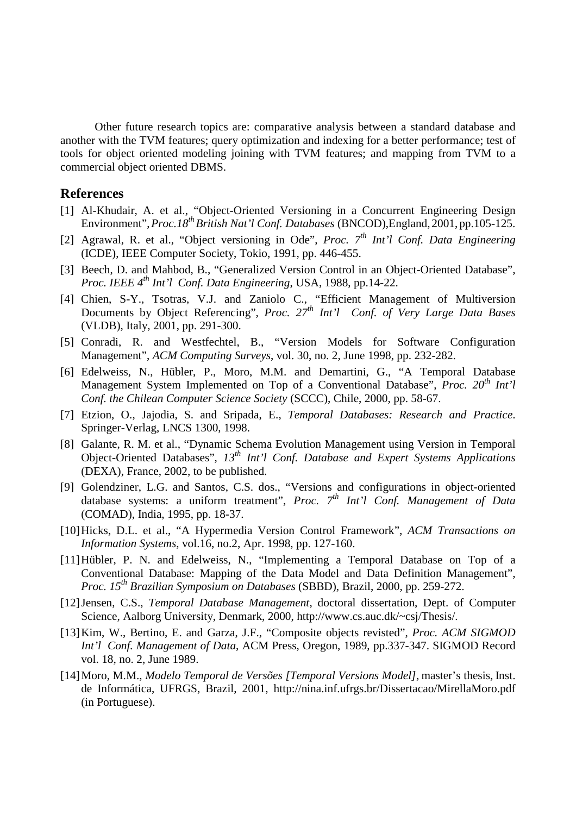Other future research topics are: comparative analysis between a standard database and another with the TVM features; query optimization and indexing for a better performance; test of tools for object oriented modeling joining with TVM features; and mapping from TVM to a commercial object oriented DBMS.

#### **References**

- [1] Al-Khudair, A. et al., "Object-Oriented Versioning in a Concurrent Engineering Design Environment", Proc.18<sup>th</sup> British Nat'l Conf. Databases (BNCOD), England, 2001, pp.105-125.
- [2] Agrawal, R. et al., "Object versioning in Ode", *Proc. 7th Int'l Conf. Data Engineering* (ICDE), IEEE Computer Society, Tokio, 1991, pp. 446-455.
- [3] Beech, D. and Mahbod, B., "Generalized Version Control in an Object-Oriented Database", *Proc. IEEE 4th Int'l Conf. Data Engineering*, USA, 1988, pp.14-22.
- [4] Chien, S-Y., Tsotras, V.J. and Zaniolo C., "Efficient Management of Multiversion Documents by Object Referencing", *Proc. 27th Int'l Conf. of Very Large Data Bases* (VLDB), Italy, 2001, pp. 291-300.
- [5] Conradi, R. and Westfechtel, B., "Version Models for Software Configuration Management", *ACM Computing Surveys*, vol. 30, no. 2, June 1998, pp. 232-282.
- [6] Edelweiss, N., Hübler, P., Moro, M.M. and Demartini, G., "A Temporal Database Management System Implemented on Top of a Conventional Database", *Proc.* 20<sup>th</sup> Int'l *Conf. the Chilean Computer Science Society* (SCCC), Chile, 2000, pp. 58-67.
- [7] Etzion, O., Jajodia, S. and Sripada, E., *Temporal Databases: Research and Practice*. Springer-Verlag, LNCS 1300, 1998.
- [8] Galante, R. M. et al., "Dynamic Schema Evolution Management using Version in Temporal Object-Oriented Databases", *13th Int'l Conf. Database and Expert Systems Applications* (DEXA), France, 2002, to be published.
- [9] Golendziner, L.G. and Santos, C.S. dos., "Versions and configurations in object-oriented database systems: a uniform treatment", *Proc. 7th Int'l Conf. Management of Data* (COMAD), India, 1995, pp. 18-37.
- [10]Hicks, D.L. et al., "A Hypermedia Version Control Framework", *ACM Transactions on Information Systems*, vol.16, no.2, Apr. 1998, pp. 127-160.
- [11]Hübler, P. N. and Edelweiss, N., "Implementing a Temporal Database on Top of a Conventional Database: Mapping of the Data Model and Data Definition Management", *Proc. 15th Brazilian Symposium on Databases* (SBBD), Brazil, 2000, pp. 259-272.
- [12]Jensen, C.S., *Temporal Database Management*, doctoral dissertation, Dept. of Computer Science, Aalborg University, Denmark, 2000, http://www.cs.auc.dk/~csj/Thesis/.
- [13]Kim, W., Bertino, E. and Garza, J.F., "Composite objects revisted", *Proc. ACM SIGMOD Int'l Conf. Management of Data*, ACM Press, Oregon, 1989, pp.337-347. SIGMOD Record vol. 18, no. 2, June 1989.
- [14]Moro, M.M., *Modelo Temporal de Versões [Temporal Versions Model]*, master's thesis, Inst. de Informática, UFRGS, Brazil, 2001, http://nina.inf.ufrgs.br/Dissertacao/MirellaMoro.pdf (in Portuguese).